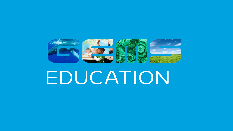# 

# EDUCATION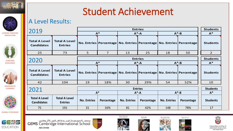



**LEADING THROUGH INNOVATION**



**PURSUING EXCELLENCE**



**GROWING BY LEARNING**



**GLOBAL CITIZENSHIP**



مدرســـة جيمـس ڪـامبـــردج العـــالميـــة أبـــوظـين<br>GEMS Cambridge International School ABU DHABI

**Total A Level Entries**

**Total A Level** 

**Total A Level Entries**

A Level Results:

2019

**Total A Level Candidates**

2020

**Total A Level Candidates**

**Total A Level Candidates**

2021





42 104 19 18% 30 29% 54 52% 10

25 73 5 7 13 25 18 50 2



**Entries No. Entries Percentage No. Entries Percentage No. Entries Percentage Students**

**No. Entries | Percentage | No. Entries | Percentage | No. Entries | Percentage | | Students** 

**A\* A\*-A A\*-B A\***

**No. Entries** Percentage | No. Entries | Percentage | No. Entries | Percentage | | Students

**Entries A\* A\*-A A\*-B**

**Entries A\* A\*-A A\*-B**





**Entries Students** 



**Students A\***

**Students A\***

> DEPARTMENT OF EDUCATION AND KNOWLEDG

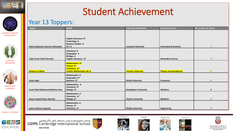



**LEADING THROUGH INNOVATION**



**PURSUING EXCELLENCE**



**GROWING BY LEARNING**



**GLOBAL CITIZENSHIP**



مدرســــة جيمـس ڪــامبــــردج العـــالميــــة أبـــوظـين<br>GEMS Cambridge International School ABU DHABI













دائــــرة التــعــلـيــم والــهــعــرفــة<br>DEPARTMENT OF EDUCATION AND KNOWLEDGE

Year 13 Toppers:

| <b>Topper</b>                          | Result                                                                                     | <b>University destination</b> | <b>University course</b>        | No. of years at school |
|----------------------------------------|--------------------------------------------------------------------------------------------|-------------------------------|---------------------------------|------------------------|
| Maria Alejandra Guerrero Monsalve      | English Literature: A*<br><b>Psychology: A</b><br><b>Business Studies: A</b><br>ICT: A     | <b>Liverpool University</b>   | <b>International Business</b>   | $\overline{ }$         |
| Laiba Imran Sohail Qureshi             | <b>Chemistry: B</b><br>Geography: A<br><b>Biology: A</b><br>English Literature: A*         |                               | <b>Biomedical Science</b>       | $\overline{ }$         |
| <b>Brianna Liz Binoy</b>               | Mathematics: A*<br>Physics: A*<br><b>Chemistry: A*</b><br><b>Further Mathematics AS: A</b> | <b>Toronto University</b>     | <b>Physics and astrophysics</b> |                        |
| <b>Eman Sajid</b>                      | <b>Mathematics: A</b><br>Geography: A*<br><b>Business: A*</b>                              | <b>Bristol University</b>     | <b>Economics</b>                | $\overline{7}$         |
| <b>Farah Wael Mohamed Mokhtar Sary</b> | Mathematics: A<br>Chemistry: A*<br><b>Biology: A*</b>                                      | <b>Buckingham University</b>  | <b>Medicine</b>                 |                        |
| Hasan Amjad Hasan Alsmadi              | <b>Mathematics: A</b><br>Chemistry: A*<br><b>Biology: A*</b>                               | <b>Charles University</b>     | <b>Medicine</b>                 | Δ                      |
| Javeria Salman Sayyeda                 | <b>Mathematics:A</b><br>Physics: A*<br>Chemistry: A*                                       | <b>Khalifa University</b>     | Engineering                     |                        |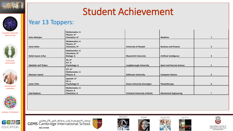



### **LEADING THROUGH INNOVATION**



**PURSUING EXCELLENCE**



**GROWING BY LEARNING**



**GLOBAL CITIZENSHIP**



مدرســـةجيمـس كــامبـــردج العـــالميـــة أبــوظـين<br>GEMS Cambridge International School ABU DHABI













دائــــرة التــعــلـيــم والــمــعــرفـــة<br>DEPARTMENT OF EDUCATION AND KNOWLEDGE

Year 13 Toppers:

| Kuhu Mahajan                | <b>Mathematics: A</b><br>Physics: A*<br>Chemistry: A*             |                                       | <b>Medicine</b>                   | 5              |
|-----------------------------|-------------------------------------------------------------------|---------------------------------------|-----------------------------------|----------------|
| Sonia Azher                 | <b>Mathematics: A</b><br>Physics: A*<br>Chemistry: A*             | <b>University of Sharjah</b>          | <b>Business and Finance</b>       | $\overline{2}$ |
| Rafali Azzam Arfan          | <b>Mathematics: A</b><br>Chemistry: A*<br><b>Biology: A</b>       | <b>Maastricht University</b>          | <b>Artificial Intelligence</b>    | 4              |
| <b>Abdullah Asif Thakur</b> | <b>PE: A*</b><br>ICT: A<br>Psychology: A                          | Loughborough University               | <b>Sport and Exercise Science</b> | 8              |
| <b>Mansoor Jawed</b>        | ICT: A*<br><b>Mathematics: A</b><br><b>Physics: A</b>             | <b>Dalhousie University</b>           | <b>Computer Science</b>           | $\mathbf{2}$   |
| Javier Peña                 | Spanish: A*<br>PE: A<br><b>Psychology: B</b>                      | <b>Hanze University Gronnigen</b>     | Physiotherapy                     | 4              |
| <b>Zaid Nadeem</b>          | <b>Mathematics: A</b><br><b>Physics: A</b><br><b>Chemistry: A</b> | <b>Technical University of Berlin</b> | <b>Mechanical Engineering</b>     |                |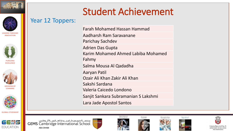



**LEADING THROUGH INNOVATION**







**GLOBAL CITIZENSHIP**

GEWS

**EDUCATION** 





مدرســـةجيمـس ڪـامبـــردج العـــالميـــة أبـــوظـين<br>GEMS Cambridge International School

**ABU DHABI** 













DEPARTMENT OF EDUCATI

### Year 12 Toppers:

Farah Mohamed Hassan Hammad Aadharsh Ram Saravanane Parichay Sachdev Adrien Das Gupta Karim Mohamed Ahmed Labiba Mohamed Fahmy Salma Mousa Al Qadadha Aaryan Patil Ozair Ali Khan Zakir Ali Khan Sakshi Sardana Valeria Caicedo Londono Sanjit Sankara Subramanian S Lakshmi Lara Jade Apostol Santos

Student Achievement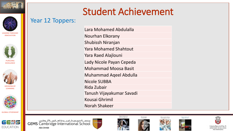



**LEADING THROUGH INNOVATION**



**PURSUING EXCELLENCE**





**GLOBAL CITIZENSHIP**

 $G=11.5$ 

**EDUCATION** 











مدرســـة جيمـس ڪـامبـــردج العـــالميـــة أبــوظـين<br>GEMS Cambridge International School **ABU DHABI** 

Year 12 Toppers:





Today's dreamers ar









DEPARTMENT OF EDUCATION **AND KNOWLEDG** 

# Student Achievement

Lara Mohamed Abdulalla Nourhan Elkorany Shubissh Niranjan Yara Mohamed Shahtout Yara Raed Alajlouni Lady Nicole Payan Cepeda Mohammad Moosa Basit Muhammad Aqeel Abdulla Nicole SUBBA Rida Zubair Tanush Vijayakumar Savadi Kousai Ghrimil Norah Shakeer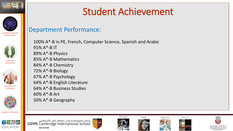



**LEADING THROUGH INNOVATION**



**PURSUING EXCELLENCE**



**GLOBAL CITIZENSHIP**



مدرســـةجيمـس كــامبـــردج العـــالميـــة أبــوظـين<br>GEMS Cambridge International School **ABU DHABI** 

# Student Achievement

### Department Performance:

100% A\*-B in PE, French, Computer Science, Spanish and Arabic 91% A\*-B IT 89% A\*-B Physics 85% A\*-B Mathematics 84% A\*-B Chemistry 72% A\*-B Biology 67% A\*-B Psychology 64% A\*-B English Literature 64% A\*-B Business Studies 60% A\*-B Art 50% A\*-B Geography

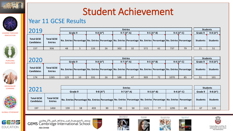



### **LEADING THROUGH INNOVATION**



**PURSUING EXCELLENCE**



**GROWING BY LEARNING**



**GLOBAL CITIZENSHIP**



مدرســـةجیمـس۱کــامبــــردج۱لعـــالمیـــةأبـــوظـیې<br>**GEMS** Cambridge International School ABU DHABI













دائــــرة التــعــلـيــم والــهــعــرفـــة<br>DEPARTMENT OF EDUCATION AND KNOWLEDGE

### Year 11 GCSE Results

| 2010                                   |                                     | <b>Entries</b> |  |            |    |                |    |             |    |             |                                                                                                                                      | <b>Students</b>     |                 |
|----------------------------------------|-------------------------------------|----------------|--|------------|----|----------------|----|-------------|----|-------------|--------------------------------------------------------------------------------------------------------------------------------------|---------------------|-----------------|
|                                        |                                     | Grade 9        |  | $9-8(A^*)$ |    | $9-7(A^* - A)$ |    | $9-5(A*-B)$ |    | $9-4(A*-C)$ |                                                                                                                                      | Grade 9             | $9-8(A^*)$      |
| <b>Total GCSE</b><br><b>Candidates</b> | <b>Total GCSE</b><br><b>Entries</b> |                |  |            |    |                |    |             |    |             | No. Entries   Percentage   No. Entries   Percentage   No. Entries   Percentage   No. Entries   Percentage   No. Entries   Percentage | <b>Students</b>     | <b>Students</b> |
| 157                                    | 936                                 | 48             |  | 133        | 26 | 302            | 32 | 572         | 61 | 737         | 79                                                                                                                                   | $\mathbf{A}$<br>2 T | 51              |

| ากาก                                   |                                     | <b>Entries</b> |    |            |    |                |    |             |    |             | <b>Students</b>                                                                                                                      |                 |                 |
|----------------------------------------|-------------------------------------|----------------|----|------------|----|----------------|----|-------------|----|-------------|--------------------------------------------------------------------------------------------------------------------------------------|-----------------|-----------------|
|                                        |                                     | Grade 9        |    | $9-8(A^*)$ |    | $9-7(A^* - A)$ |    | $9-5(A*-B)$ |    | $9-4(A*-C)$ |                                                                                                                                      | Grade 9         | $9-8(A^*)$      |
| <b>Total GCSE</b><br><b>Candidates</b> | <b>Total GCSE</b><br><b>Entries</b> |                |    |            |    |                |    |             |    |             | No. Entries   Percentage   No. Entries   Percentage   No. Entries   Percentage   No. Entries   Percentage   No. Entries   Percentage | <b>Students</b> | <b>Students</b> |
| 174                                    | 1265                                | 129            | 10 | 331        | 26 | 588            | 47 | 909         | 72 | 1070        | 85                                                                                                                                   | 51              | 101             |

| 201                                    |                                     |         | <b>Entries</b> |            |    |                |    |             |    |             | <b>Students</b>                                                                                                    |                 |                 |
|----------------------------------------|-------------------------------------|---------|----------------|------------|----|----------------|----|-------------|----|-------------|--------------------------------------------------------------------------------------------------------------------|-----------------|-----------------|
|                                        |                                     | Grade 9 |                | $9-8(A^*)$ |    | $9-7(A^* - A)$ |    | $9-5(A*-B)$ |    | $9-4(A*-C)$ |                                                                                                                    | Grade 9         | $9-8(A^*)$      |
| <b>Total GCSE</b><br><b>Candidates</b> | <b>Total GCSE</b><br><b>Entries</b> |         |                |            |    |                |    |             |    |             | No. Entries Percentage No. Entries Percentage No. Entries Percentage No. Entries Percentage No. Entries Percentage | <b>Students</b> | <b>Students</b> |
| 197                                    | 1450                                | 159     | 18             | 433        | 30 | 730            | 50 | 1121        | 77 | 1295        | 89                                                                                                                 | 67              | 120             |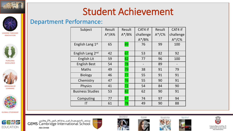

**LEADING THROUGH INNOVATION**



**PURSUING EXCELLENCE**





**GLOBAL CITIZENSHIP**



مدرســـةجيمـس كــامبـــردج العـــالميـــة أبــوظـين<br>GEMS Cambridge International School ABU DHABI













ة التـعـلـيـم والـمـعـرفــة DEPARTMENT OF EDUCATION AND KNOWLEDGE

# Student Achievement

### Department Performance: Subject Result A\*/A% Result

| Subject                      | Result    | Result    | CAT4 if   | Result  | CAT4 if   |
|------------------------------|-----------|-----------|-----------|---------|-----------|
|                              | $A^*/A\%$ | $A^*/B\%$ | challenge | $A*/C%$ | challenge |
|                              |           |           | $A^*/B\%$ |         | $A*/C%$   |
| English Lang 1st             | 65        | 89        | 76        | 99      | 100       |
| English Lang 2 <sup>nd</sup> | 42        | 67        | 53        | 82      | 92        |
| <b>English Lit</b>           | 59        | 82        | 77        | 96      | 100       |
| <b>English Best</b>          | 54        | 78        |           | 89      |           |
| <b>Maths</b>                 | 49        | 79        | 38        | 91      | 79        |
| <b>Biology</b>               | 46        | 77        | 55        | 91      | 91        |
| Chemistry                    | 47        | 76        | 55        | 90      | 91        |
| <b>Physics</b>               | 41        | 72        | 54        | 84      | 90        |
| <b>Business Studies</b>      | 53        | 82        | 62        | 90      | 91        |
| Computing                    | 77        | 87        | 74        | 97      | 94        |
| IT                           | 61        | 78        | 49        | 90      | 88        |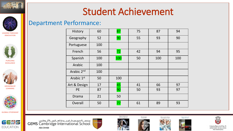

History | 60 | <mark>87</mark> | 75 | 87 | 94

French | 56 | <mark>72</mark> | 42 | 94 | 95

Spanish | 100 | <mark>100</mark> | 50 | 100 | 100

Art & Design | 17 | 45 | 41 | 66 | 97

PE | 87 | <mark>90</mark> | 50 | 93 | 97

Geography 52  $\begin{array}{|c|c|c|c|c|c|c|c|c|} \hline \text{Geography} & \text{52} & \text{90} & \text{55} & \text{93} & \text{90} \ \hline \end{array}$ 

### Department Performance:



**LEADING THROUGH INNOVATION**





**GROWING BY LEARNING**



**GLOBAL CITIZENSHIP**



مدرســـة جيمـس ڪـامبـــردج العـــالميـــة أبـــوظـين<br>GEMS Cambridge International School ABU DHABI



Arabic  $1^{\text{st}}$  50  $100$ 

Drama 21 50

Portuguese | 100

Arabic | 100

Arabic  $2^{nd}$  | 100



Overall | 50 | <mark>77</mark> | 61 | 89 | 93









AND KNOWLEDGE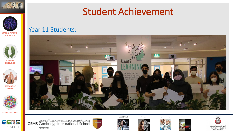



**LEADING THROUGH INNOVATION**



**PURSUING EXCELLENCE**



**GROWING BY LEARNING**



**GLOBAL CITIZENSHIP**



مدرســـة جيمـس ڪـامبـــردج العـــالميـــة أبـــوظـين<br>GEMS Cambridge International School ABU DHABI













دائــــرة التــعــلـيــم والــمــعــرفـــة<br>DEPARTMENT OF EDUCATION AND KNOWLEDGE

### Student Achievement

### Year 11 Students:

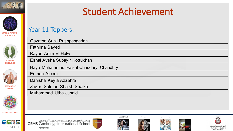



**LEADING THROUGH INNOVATION**



**PURSUING EXCELLENCE**



**LEARNING**



**GLOBAL CITIZENSHIP**



مدرســـة جيمـس ڪـامبـــردج العـــالميـــة أبــوظـين<br>GEMS Cambridge International School ABU DHABI

Year 11 Toppers:

Rayan Amin El Helw

Danisha Keyla Azzahra

Muhammad Utba Junaid

Zavier Salman Shaikh Shaikh

Fathima Sayed

Eeman Aleem

Gayathri Sunil Pushpangadan

Eshal Aysha Subayir Kottukhan

Haya Muhammad Faisal Chaudhry Chaudhry













التـعـلـيـم والـمـعـرة DEPARTMENT OF EDUCATION AND KNOWLEDGE

## Student Achievement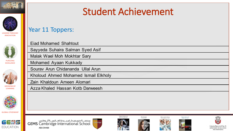



**LEADING THROUGH INNOVATION**



**PURSUING EXCELLENCE**



**GROWING BY LEARNING**



**GLOBAL CITIZENSHIP**



مدرســـة جيمـس كــامبـــردج العـــالميـــة أبـــوظـيي<br>GEMS Cambridge International School ABU DHABI





Today's dreamers are



Ne see geniu









اتـعـلـيـم والـهـعـ DEPARTMENT OF EDUCATION **AND KNOWLEDGE** 

# Student Achievement

### Year 11 Toppers:

Eiad Mohamed Shahtout

Sayyeda Suhaira Salman Syed Asif

Malak Wael Moh Mokhtar Sary

Mohamed Ayaan Kukkady

Sourav Arun Chidananda Ullal Arun

Kholoud Ahmed Mohamed Ismail Elkholy

Zain Khaldoun Ameen Alomari

Azza Khaled Hassan Kotb Darweesh